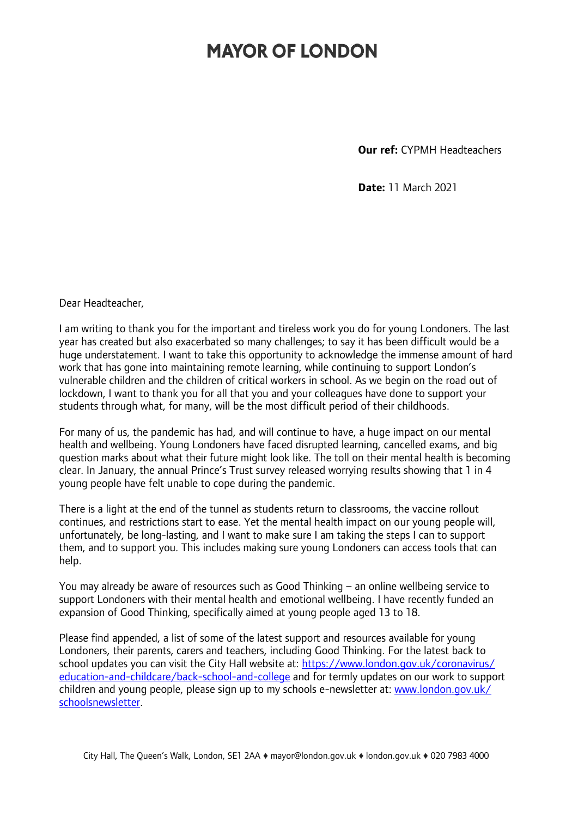## **MAYOR OF LONDON**

**Our ref:** CYPMH Headteachers

**Date:** 11 March 2021

Dear Headteacher,

I am writing to thank you for the important and tireless work you do for young Londoners. The last year has created but also exacerbated so many challenges; to say it has been difficult would be a huge understatement. I want to take this opportunity to acknowledge the immense amount of hard work that has gone into maintaining remote learning, while continuing to support London's vulnerable children and the children of critical workers in school. As we begin on the road out of lockdown, I want to thank you for all that you and your colleagues have done to support your students through what, for many, will be the most difficult period of their childhoods.

For many of us, the pandemic has had, and will continue to have, a huge impact on our mental health and wellbeing. Young Londoners have faced disrupted learning, cancelled exams, and big question marks about what their future might look like. The toll on their mental health is becoming clear. In January, the annual Prince's Trust survey released worrying results showing that 1 in 4 young people have felt unable to cope during the pandemic.

There is a light at the end of the tunnel as students return to classrooms, the vaccine rollout continues, and restrictions start to ease. Yet the mental health impact on our young people will, unfortunately, be long-lasting, and I want to make sure I am taking the steps I can to support them, and to support you. This includes making sure young Londoners can access tools that can help.

You may already be aware of resources such as Good Thinking – an online wellbeing service to support Londoners with their mental health and emotional wellbeing. I have recently funded an expansion of Good Thinking, specifically aimed at young people aged 13 to 18.

Please find appended, a list of some of the latest support and resources available for young Londoners, their parents, carers and teachers, including Good Thinking. For the latest back to school updates you can visit the City Hall website at: [https://www.london.gov.uk/coronavirus/](https://www.london.gov.uk/coronavirus/education-and-childcare/back-school-and-college) [education-and-childcare/back-school-and-college](https://www.london.gov.uk/coronavirus/education-and-childcare/back-school-and-college) and for termly updates on our work to support children and young people, please sign up to my schools e-newsletter at: [www.london.gov.uk/](http://www.london.gov.uk/schoolsnewsletter) [schoolsnewsletter.](http://www.london.gov.uk/schoolsnewsletter)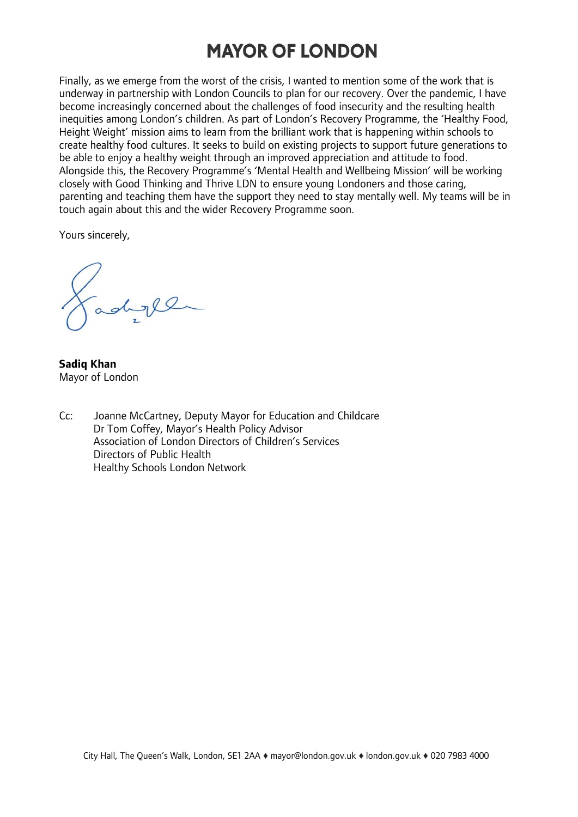## **MAYOR OF LONDON**

Finally, as we emerge from the worst of the crisis, I wanted to mention some of the work that is underway in partnership with London Councils to plan for our recovery. Over the pandemic, I have become increasingly concerned about the challenges of food insecurity and the resulting health inequities among London's children. As part of London's Recovery Programme, the 'Healthy Food, Height Weight' mission aims to learn from the brilliant work that is happening within schools to create healthy food cultures. It seeks to build on existing projects to support future generations to be able to enjoy a healthy weight through an improved appreciation and attitude to food. Alongside this, the Recovery Programme's 'Mental Health and Wellbeing Mission' will be working closely with Good Thinking and Thrive LDN to ensure young Londoners and those caring, parenting and teaching them have the support they need to stay mentally well. My teams will be in touch again about this and the wider Recovery Programme soon.

Yours sincerely,

adyll

**Sadiq Khan** Mayor of London

Cc: Joanne McCartney, Deputy Mayor for Education and Childcare Dr Tom Coffey, Mayor's Health Policy Advisor Association of London Directors of Children's Services Directors of Public Health Healthy Schools London Network